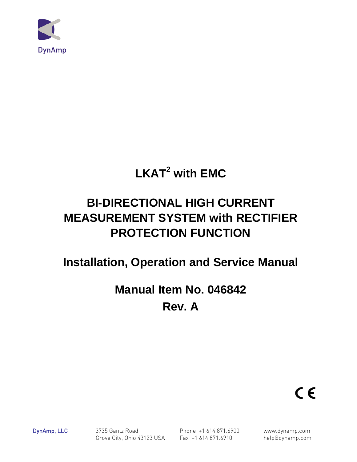

# **LKAT2 with EMC**

# **BI-DIRECTIONAL HIGH CURRENT MEASUREMENT SYSTEM with RECTIFIER PROTECTION FUNCTION**

# **Installation, Operation and Service Manual**

# **Manual Item No. 046842 Rev. A**



DynAmp, LLC 3735 Gantz Road Phone +1 614.871.6900 www.dynamp.com Grove City, Ohio 43123 USA Fax +1 614.871.6910 help@dynamp.com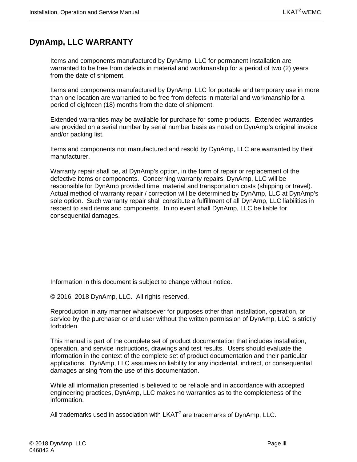# <span id="page-2-0"></span>**DynAmp, LLC WARRANTY**

Items and components manufactured by DynAmp, LLC for permanent installation are warranted to be free from defects in material and workmanship for a period of two (2) years from the date of shipment.

Items and components manufactured by DynAmp, LLC for portable and temporary use in more than one location are warranted to be free from defects in material and workmanship for a period of eighteen (18) months from the date of shipment.

Extended warranties may be available for purchase for some products. Extended warranties are provided on a serial number by serial number basis as noted on DynAmp's original invoice and/or packing list.

Items and components not manufactured and resold by DynAmp, LLC are warranted by their manufacturer.

Warranty repair shall be, at DynAmp's option, in the form of repair or replacement of the defective items or components. Concerning warranty repairs, DynAmp, LLC will be responsible for DynAmp provided time, material and transportation costs (shipping or travel). Actual method of warranty repair / correction will be determined by DynAmp, LLC at DynAmp's sole option. Such warranty repair shall constitute a fulfillment of all DynAmp, LLC liabilities in respect to said items and components. In no event shall DynAmp, LLC be liable for consequential damages.

Information in this document is subject to change without notice.

© 2016, 2018 DynAmp, LLC. All rights reserved.

Reproduction in any manner whatsoever for purposes other than installation, operation, or service by the purchaser or end user without the written permission of DynAmp, LLC is strictly forbidden.

This manual is part of the complete set of product documentation that includes installation, operation, and service instructions, drawings and test results. Users should evaluate the information in the context of the complete set of product documentation and their particular applications. DynAmp, LLC assumes no liability for any incidental, indirect, or consequential damages arising from the use of this documentation.

While all information presented is believed to be reliable and in accordance with accepted engineering practices, DynAmp, LLC makes no warranties as to the completeness of the information.

All trademarks used in association with  $LKAT<sup>2</sup>$  are trademarks of DynAmp, LLC.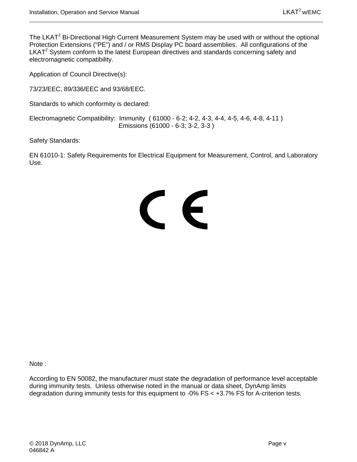The LKAT<sup>2</sup> Bi-Directional High Current Measurement System may be used with or without the optional Protection Extensions ("PE") and / or RMS Display PC board assemblies. All configurations of the LKAT<sup>2</sup> System conform to the latest European directives and standards concerning safety and electromagnetic compatibility.

Application of Council Directive(s):

73/23/EEC, 89/336/EEC and 93/68/EEC.

Standards to which conformity is declared:

Electromagnetic Compatibility: Immunity ( 61000 - 6-2; 4-2, 4-3, 4-4, 4-5, 4-6, 4-8, 4-11 ) Emissions (61000 - 6-3; 3-2, 3-3 )

Safety Standards:

EN 61010-1: Safety Requirements for Electrical Equipment for Measurement, Control, and Laboratory Use.

# CE

Note :

According to EN 50082, the manufacturer must state the degradation of performance level acceptable during immunity tests. Unless otherwise noted in the manual or data sheet, DynAmp limits degradation during immunity tests for this equipment to -0% FS < +3.7% FS for A-criterion tests.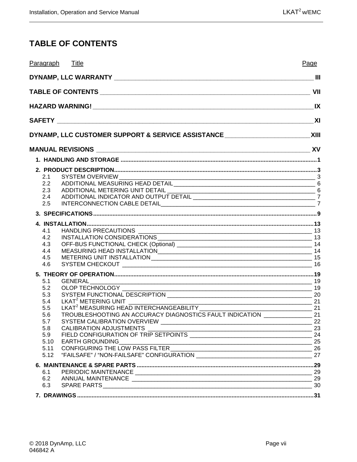# <span id="page-6-0"></span>**TABLE OF CONTENTS**

| Paragraph Title                                                                                                                                 | Page                    |
|-------------------------------------------------------------------------------------------------------------------------------------------------|-------------------------|
|                                                                                                                                                 |                         |
|                                                                                                                                                 | VII                     |
|                                                                                                                                                 | $\mathsf{I} \mathsf{X}$ |
|                                                                                                                                                 |                         |
| DYNAMP, LLC CUSTOMER SUPPORT & SERVICE ASSISTANCE _______________________________ XIII                                                          |                         |
|                                                                                                                                                 |                         |
|                                                                                                                                                 |                         |
|                                                                                                                                                 |                         |
| 2.1                                                                                                                                             |                         |
| 2.2                                                                                                                                             |                         |
| 2.3                                                                                                                                             |                         |
| 2.4                                                                                                                                             |                         |
| 2.5                                                                                                                                             |                         |
|                                                                                                                                                 |                         |
|                                                                                                                                                 |                         |
| 4.1                                                                                                                                             |                         |
| 4.2                                                                                                                                             |                         |
| 4.3                                                                                                                                             |                         |
| 4.4                                                                                                                                             |                         |
| 4.5<br>4.6                                                                                                                                      |                         |
|                                                                                                                                                 |                         |
| 5.1                                                                                                                                             |                         |
| 5.2                                                                                                                                             |                         |
| 5.3                                                                                                                                             |                         |
| 5.4                                                                                                                                             |                         |
| LKAT <sup>2</sup> MEASURING HEAD INTERCHANGEABILITY<br>TROUBLESHOOTING AN ACCURACY DIAGNOSTICS FAULT INDICATION ________________________<br>5.5 |                         |
| 5.6                                                                                                                                             |                         |
| 5.7                                                                                                                                             | 22                      |
| 5.8<br>23<br><b>CALIBRATION ADJUSTMENTS</b>                                                                                                     |                         |
| 5.9                                                                                                                                             |                         |
| 5.10                                                                                                                                            |                         |
| EARTH GROUNDING<br>CONFIGURING THE LOW PASS FILTER<br>"EAU SAFE" ("NON FAU SAFE" CONFIGURATION<br>5.11<br>5.12                                  |                         |
|                                                                                                                                                 |                         |
|                                                                                                                                                 |                         |
| 6.1                                                                                                                                             |                         |
| 6.2                                                                                                                                             |                         |
| 6.3                                                                                                                                             |                         |
|                                                                                                                                                 |                         |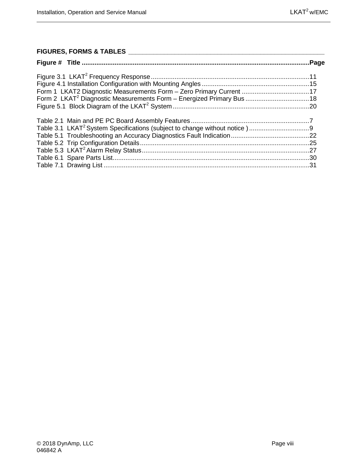#### **FIGURES, FORMS & TABLES \_\_\_\_\_\_\_\_\_\_\_\_\_\_\_\_\_\_\_\_\_\_\_\_\_\_\_\_\_\_\_\_\_\_\_\_\_\_\_\_\_\_\_\_\_\_\_\_\_\_\_\_\_\_\_**

| Form 1 LKAT2 Diagnostic Measurements Form - Zero Primary Current 17 |  |
|---------------------------------------------------------------------|--|
|                                                                     |  |
|                                                                     |  |
|                                                                     |  |
|                                                                     |  |
|                                                                     |  |
|                                                                     |  |
|                                                                     |  |
|                                                                     |  |
|                                                                     |  |
|                                                                     |  |
|                                                                     |  |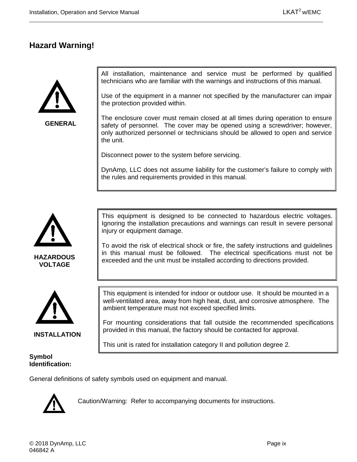#### <span id="page-8-0"></span>**Hazard Warning!**



**GENERAL**

All installation, maintenance and service must be performed by qualified technicians who are familiar with the warnings and instructions of this manual.

Use of the equipment in a manner not specified by the manufacturer can impair the protection provided within.

The enclosure cover must remain closed at all times during operation to ensure safety of personnel. The cover may be opened using a screwdriver; however, only authorized personnel or technicians should be allowed to open and service the unit.

Disconnect power to the system before servicing.

DynAmp, LLC does not assume liability for the customer's failure to comply with the rules and requirements provided in this manual.



**VOLTAGE**



**INSTALLATION**

#### **Symbol Identification:**

This equipment is designed to be connected to hazardous electric voltages. Ignoring the installation precautions and warnings can result in severe personal injury or equipment damage.

To avoid the risk of electrical shock or fire, the safety instructions and guidelines in this manual must be followed. The electrical specifications must not be exceeded and the unit must be installed according to directions provided.

This equipment is intended for indoor or outdoor use. It should be mounted in a well-ventilated area, away from high heat, dust, and corrosive atmosphere. The ambient temperature must not exceed specified limits.

For mounting considerations that fall outside the recommended specifications provided in this manual, the factory should be contacted for approval.

This unit is rated for installation category II and pollution degree 2.

General definitions of safety symbols used on equipment and manual.



Caution/Warning: Refer to accompanying documents for instructions.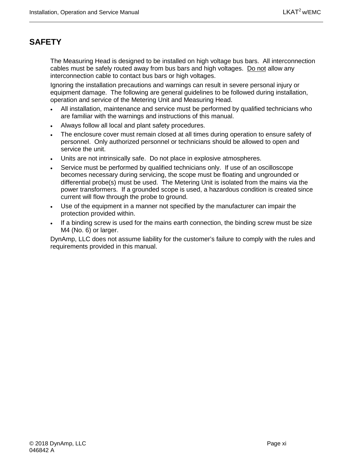# <span id="page-10-0"></span>**SAFETY**

The Measuring Head is designed to be installed on high voltage bus bars. All interconnection cables must be safely routed away from bus bars and high voltages. Do not allow any interconnection cable to contact bus bars or high voltages.

Ignoring the installation precautions and warnings can result in severe personal injury or equipment damage. The following are general guidelines to be followed during installation, operation and service of the Metering Unit and Measuring Head.

- All installation, maintenance and service must be performed by qualified technicians who are familiar with the warnings and instructions of this manual.
- Always follow all local and plant safety procedures.
- The enclosure cover must remain closed at all times during operation to ensure safety of personnel. Only authorized personnel or technicians should be allowed to open and service the unit.
- Units are not intrinsically safe. Do not place in explosive atmospheres.
- Service must be performed by qualified technicians only. If use of an oscilloscope becomes necessary during servicing, the scope must be floating and ungrounded or differential probe(s) must be used. The Metering Unit is isolated from the mains via the power transformers. If a grounded scope is used, a hazardous condition is created since current will flow through the probe to ground.
- Use of the equipment in a manner not specified by the manufacturer can impair the protection provided within.
- If a binding screw is used for the mains earth connection, the binding screw must be size M4 (No. 6) or larger.

DynAmp, LLC does not assume liability for the customer's failure to comply with the rules and requirements provided in this manual.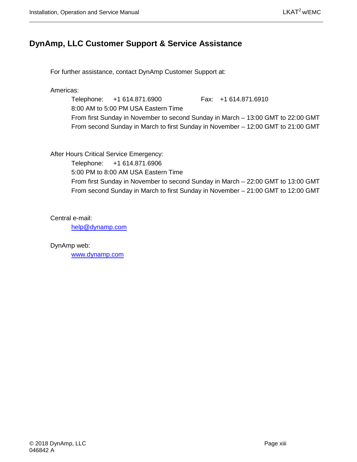#### <span id="page-12-0"></span>**DynAmp, LLC Customer Support & Service Assistance**

For further assistance, contact DynAmp Customer Support at:

Americas:

Telephone: +1 614.871.6900 Fax: +1 614.871.6910 8:00 AM to 5:00 PM USA Eastern Time From first Sunday in November to second Sunday in March – 13:00 GMT to 22:00 GMT From second Sunday in March to first Sunday in November – 12:00 GMT to 21:00 GMT

After Hours Critical Service Emergency:

Telephone: +1 614.871.6906

5:00 PM to 8:00 AM USA Eastern Time

From first Sunday in November to second Sunday in March – 22:00 GMT to 13:00 GMT From second Sunday in March to first Sunday in November – 21:00 GMT to 12:00 GMT

Central e-mail:

[help@dynamp.com](mailto:help@dynamp.com)

DynAmp web:

[www.dynamp.com](http://www.dynamp.com/)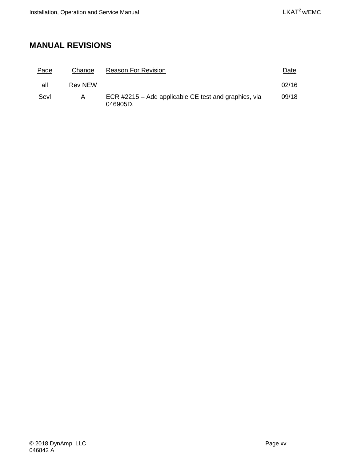# <span id="page-14-0"></span>**MANUAL REVISIONS**

| <u>Page</u> | Change         | <b>Reason For Revision</b>                                       | Date  |
|-------------|----------------|------------------------------------------------------------------|-------|
| all         | <b>Rev NEW</b> |                                                                  | 02/16 |
| Sevl        | A              | ECR #2215 – Add applicable CE test and graphics, via<br>046905D. | 09/18 |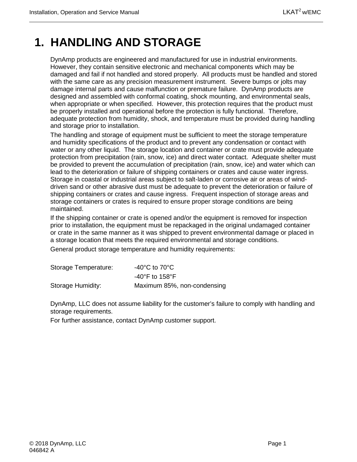# <span id="page-16-0"></span>**1. HANDLING AND STORAGE**

DynAmp products are engineered and manufactured for use in industrial environments. However, they contain sensitive electronic and mechanical components which may be damaged and fail if not handled and stored properly. All products must be handled and stored with the same care as any precision measurement instrument. Severe bumps or jolts may damage internal parts and cause malfunction or premature failure. DynAmp products are designed and assembled with conformal coating, shock mounting, and environmental seals, when appropriate or when specified. However, this protection requires that the product must be properly installed and operational before the protection is fully functional. Therefore, adequate protection from humidity, shock, and temperature must be provided during handling and storage prior to installation.

The handling and storage of equipment must be sufficient to meet the storage temperature and humidity specifications of the product and to prevent any condensation or contact with water or any other liquid. The storage location and container or crate must provide adequate protection from precipitation (rain, snow, ice) and direct water contact. Adequate shelter must be provided to prevent the accumulation of precipitation (rain, snow, ice) and water which can lead to the deterioration or failure of shipping containers or crates and cause water ingress. Storage in coastal or industrial areas subject to salt-laden or corrosive air or areas of winddriven sand or other abrasive dust must be adequate to prevent the deterioration or failure of shipping containers or crates and cause ingress. Frequent inspection of storage areas and storage containers or crates is required to ensure proper storage conditions are being maintained.

If the shipping container or crate is opened and/or the equipment is removed for inspection prior to installation, the equipment must be repackaged in the original undamaged container or crate in the same manner as it was shipped to prevent environmental damage or placed in a storage location that meets the required environmental and storage conditions.

General product storage temperature and humidity requirements:

| Storage Temperature: | -40 $^{\circ}$ C to 70 $^{\circ}$ C |
|----------------------|-------------------------------------|
|                      | $-40^{\circ}$ F to 158 $^{\circ}$ F |
| Storage Humidity:    | Maximum 85%, non-condensing         |

DynAmp, LLC does not assume liability for the customer's failure to comply with handling and storage requirements.

For further assistance, contact DynAmp customer support.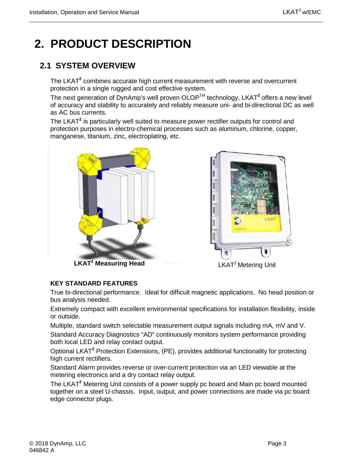# <span id="page-18-0"></span>**2. PRODUCT DESCRIPTION**

# <span id="page-18-1"></span>**2.1 SYSTEM OVERVIEW**

The LKAT**<sup>2</sup>** combines accurate high current measurement with reverse and overcurrent protection in a single rugged and cost effective system.

The next generation of DynAmp's well proven OLOPTM technology, LKAT**<sup>2</sup>** offers a new level of accuracy and stability to accurately and reliably measure uni- and bi-directional DC as well as AC bus currents.

The LKAT**<sup>2</sup>** is particularly well suited to measure power rectifier outputs for control and protection purposes in electro-chemical processes such as aluminum, chlorine, copper, manganese, titanium, zinc, electroplating, etc.





**LKAT2 Measuring Head**

LKAT<sup>2</sup> Metering Unit

#### **KEY STANDARD FEATURES**

True bi-directional performance. Ideal for difficult magnetic applications. No head position or bus analysis needed.

Extremely compact with excellent environmental specifications for installation flexibility, inside or outside.

Multiple, standard switch selectable measurement output signals including mA, mV and V. Standard Accuracy Diagnostics "AD" continuously monitors system performance providing both local LED and relay contact output.

Optional LKAT**<sup>2</sup>** Protection Extensions, (PE), provides additional functionality for protecting high current rectifiers.

Standard Alarm provides reverse or over-current protection via an LED viewable at the metering electronics and a dry contact relay output.

The LKAT**<sup>2</sup>** Metering Unit consists of a power supply pc board and Main pc board mounted together on a steel U-chassis. Input, output, and power connections are made via pc board edge connector plugs.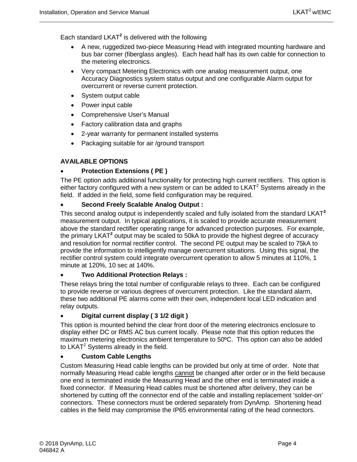Each standard LKAT**<sup>2</sup>** is delivered with the following

- A new, ruggedized two-piece Measuring Head with integrated mounting hardware and bus bar corner (fiberglass angles). Each head half has its own cable for connection to the metering electronics.
- Very compact Metering Electronics with one analog measurement output, one Accuracy Diagnostics system status output and one configurable Alarm output for overcurrent or reverse current protection.
- System output cable
- Power input cable
- Comprehensive User's Manual
- Factory calibration data and graphs
- 2-year warranty for permanent installed systems
- Packaging suitable for air /ground transport

#### **AVAILABLE OPTIONS**

#### • **Protection Extensions ( PE )**

The PE option adds additional functionality for protecting high current rectifiers. This option is either factory configured with a new system or can be added to  $LKAT^2$  Systems already in the field. If added in the field, some field configuration may be required.

#### • **Second Freely Scalable Analog Output :**

This second analog output is independently scaled and fully isolated from the standard LKAT**<sup>2</sup>** measurement output. In typical applications, it is scaled to provide accurate measurement above the standard rectifier operating range for advanced protection purposes. For example, the primary LKAT**<sup>2</sup>** output may be scaled to 50kA to provide the highest degree of accuracy and resolution for normal rectifier control. The second PE output may be scaled to 75kA to provide the information to intelligently manage overcurrent situations. Using this signal, the rectifier control system could integrate overcurrent operation to allow 5 minutes at 110%, 1 minute at 120%, 10 sec at 140%.

#### • **Two Additional Protection Relays :**

These relays bring the total number of configurable relays to three. Each can be configured to provide reverse or various degrees of overcurrent protection. Like the standard alarm, these two additional PE alarms come with their own, independent local LED indication and relay outputs.

#### • **Digital current display ( 3 1/2 digit )**

This option is mounted behind the clear front door of the metering electronics enclosure to display either DC or RMS AC bus current locally. Please note that this option reduces the maximum metering electronics ambient temperature to 50ºC. This option can also be added to LKAT<sup>2</sup> Systems already in the field.

#### • **Custom Cable Lengths**

Custom Measuring Head cable lengths can be provided but only at time of order. Note that normally Measuring Head cable lengths cannot be changed after order or in the field because one end is terminated inside the Measuring Head and the other end is terminated inside a fixed connector. If Measuring Head cables must be shortened after delivery, they can be shortened by cutting off the connector end of the cable and installing replacement 'solder-on' connectors. These connectors must be ordered separately from DynAmp. Shortening head cables in the field may compromise the IP65 environmental rating of the head connectors.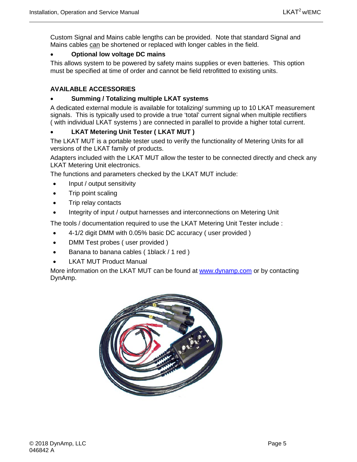Custom Signal and Mains cable lengths can be provided. Note that standard Signal and Mains cables can be shortened or replaced with longer cables in the field.

#### • **Optional low voltage DC mains**

This allows system to be powered by safety mains supplies or even batteries. This option must be specified at time of order and cannot be field retrofitted to existing units.

#### **AVAILABLE ACCESSORIES**

#### • **Summing / Totalizing multiple LKAT systems**

A dedicated external module is available for totalizing/ summing up to 10 LKAT measurement signals. This is typically used to provide a true 'total' current signal when multiple rectifiers ( with individual LKAT systems ) are connected in parallel to provide a higher total current.

#### • **LKAT Metering Unit Tester ( LKAT MUT )**

The LKAT MUT is a portable tester used to verify the functionality of Metering Units for all versions of the LKAT family of products.

Adapters included with the LKAT MUT allow the tester to be connected directly and check any LKAT Metering Unit electronics.

The functions and parameters checked by the LKAT MUT include:

- Input / output sensitivity
- Trip point scaling
- Trip relay contacts
- Integrity of input / output harnesses and interconnections on Metering Unit

The tools / documentation required to use the LKAT Metering Unit Tester include :

- 4-1/2 digit DMM with 0.05% basic DC accuracy ( user provided )
- DMM Test probes ( user provided )
- Banana to banana cables (1black / 1 red )
- **LKAT MUT Product Manual**

More information on the LKAT MUT can be found at [www.dynamp.com](http://www.dynamp.com/) or by contacting DynAmp.

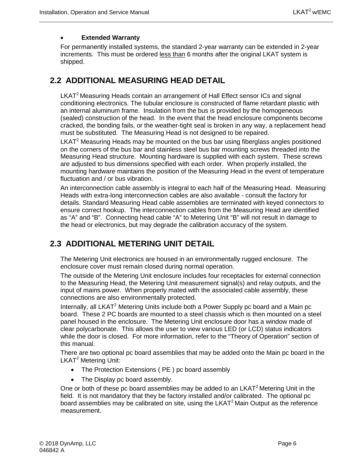#### • **Extended Warranty**

For permanently installed systems, the standard 2-year warranty can be extended in 2-year increments. This must be ordered less than 6 months after the original LKAT system is shipped.

#### <span id="page-21-0"></span>**2.2 ADDITIONAL MEASURING HEAD DETAIL**

LKAT<sup>2</sup> Measuring Heads contain an arrangement of Hall Effect sensor ICs and signal conditioning electronics. The tubular enclosure is constructed of flame retardant plastic with an internal aluminum frame. Insulation from the bus is provided by the homogeneous (sealed) construction of the head. In the event that the head enclosure components become cracked, the bonding fails, or the weather-tight seal is broken in any way, a replacement head must be substituted. The Measuring Head is not designed to be repaired.

LKAT $2$  Measuring Heads may be mounted on the bus bar using fiberglass angles positioned on the corners of the bus bar and stainless steel bus bar mounting screws threaded into the Measuring Head structure. Mounting hardware is supplied with each system. These screws are adjusted to bus dimensions specified with each order. When properly installed, the mounting hardware maintains the position of the Measuring Head in the event of temperature fluctuation and / or bus vibration.

An interconnection cable assembly is integral to each half of the Measuring Head. Measuring Heads with extra-long interconnection cables are also available - consult the factory for details. Standard Measuring Head cable assemblies are terminated with keyed connectors to ensure correct hookup. The interconnection cables from the Measuring Head are identified as "A" and "B". Connecting head cable "A" to Metering Unit "B" will not result in damage to the head or electronics, but may degrade the calibration accuracy of the system.

#### <span id="page-21-1"></span>**2.3 ADDITIONAL METERING UNIT DETAIL**

The Metering Unit electronics are housed in an environmentally rugged enclosure. The enclosure cover must remain closed during normal operation.

The outside of the Metering Unit enclosure includes four receptacles for external connection to the Measuring Head, the Metering Unit measurement signal(s) and relay outputs, and the input of mains power. When properly mated with the associated cable assembly, these connections are also environmentally protected.

Internally, all LKAT<sup>2</sup> Metering Units include both a Power Supply pc board and a Main pc board. These 2 PC boards are mounted to a steel chassis which is then mounted on a steel panel housed in the enclosure. The Metering Unit enclosure door has a window made of clear polycarbonate. This allows the user to view various LED (or LCD) status indicators while the door is closed. For more information, refer to the "Theory of Operation" section of this manual.

There are two optional pc board assemblies that may be added onto the Main pc board in the LKAT<sup>2</sup> Metering Unit:

- The Protection Extensions ( PE ) pc board assembly
- The Display pc board assembly.

One or both of these pc board assemblies may be added to an LKAT<sup>2</sup> Metering Unit in the field. It is not mandatory that they be factory installed and/or calibrated. The optional pc board assemblies may be calibrated on site, using the LKAT<sup>2</sup> Main Output as the reference measurement.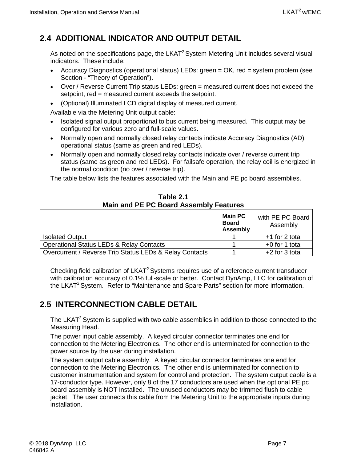# <span id="page-22-0"></span>**2.4 ADDITIONAL INDICATOR AND OUTPUT DETAIL**

As noted on the specifications page, the LKAT<sup>2</sup> System Metering Unit includes several visual indicators. These include:

- Accuracy Diagnostics (operational status) LEDs: green = OK, red = system problem (see Section - "Theory of Operation").
- Over / Reverse Current Trip status LEDs: green = measured current does not exceed the setpoint, red = measured current exceeds the setpoint.
- (Optional) Illuminated LCD digital display of measured current.

Available via the Metering Unit output cable:

- Isolated signal output proportional to bus current being measured. This output may be configured for various zero and full-scale values.
- Normally open and normally closed relay contacts indicate Accuracy Diagnostics (AD) operational status (same as green and red LEDs).
- Normally open and normally closed relay contacts indicate over / reverse current trip status (same as green and red LEDs). For failsafe operation, the relay coil is energized in the normal condition (no over / reverse trip).

The table below lists the features associated with the Main and PE pc board assemblies.

<span id="page-22-2"></span>

| <b>Main and PE PC Board Assembly Features</b> |                                                   |                              |  |
|-----------------------------------------------|---------------------------------------------------|------------------------------|--|
|                                               | <b>Main PC</b><br><b>Board</b><br><b>Assembly</b> | with PE PC Board<br>Assembly |  |
| <b>Isolated Output</b>                        |                                                   | +1 for 2 total               |  |
| Operational Status LEDs & Relay Contacts      |                                                   | $+0$ for 1 total             |  |

Overcurrent / Reverse Trip Status LEDs & Relay Contacts | 1 +2 for 3 total

**Table 2.1**

Checking field calibration of LKAT<sup>2</sup> Systems requires use of a reference current transducer with calibration accuracy of 0.1% full-scale or better. Contact DynAmp, LLC for calibration of the LKAT<sup>2</sup> System. Refer to "Maintenance and Spare Parts" section for more information.

## <span id="page-22-1"></span>**2.5 INTERCONNECTION CABLE DETAIL**

The LKAT<sup>2</sup> System is supplied with two cable assemblies in addition to those connected to the Measuring Head.

The power input cable assembly. A keyed circular connector terminates one end for connection to the Metering Electronics. The other end is unterminated for connection to the power source by the user during installation.

The system output cable assembly. A keyed circular connector terminates one end for connection to the Metering Electronics. The other end is unterminated for connection to customer instrumentation and system for control and protection. The system output cable is a 17-conductor type. However, only 8 of the 17 conductors are used when the optional PE pc board assembly is NOT installed. The unused conductors may be trimmed flush to cable jacket. The user connects this cable from the Metering Unit to the appropriate inputs during installation.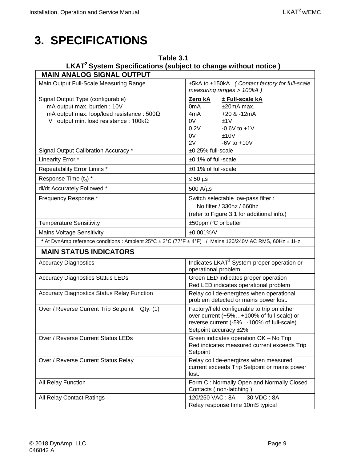# <span id="page-24-0"></span>**3. SPECIFICATIONS**

#### <span id="page-24-1"></span>**Table 3.1 LKAT2 System Specifications (subject to change without notice )**

| <b>MAIN ANALOG SIGNAL OUTPUT</b>                                                                       |                                                                                                                                                                |
|--------------------------------------------------------------------------------------------------------|----------------------------------------------------------------------------------------------------------------------------------------------------------------|
| Main Output Full-Scale Measuring Range                                                                 | ±5kA to ±150kA (Contact factory for full-scale<br>measuring ranges > 100kA)                                                                                    |
| Signal Output Type (configurable)                                                                      | Zero kA<br>± Full-scale kA                                                                                                                                     |
| mA output max. burden: 10V                                                                             | 0 <sub>m</sub> A<br>$±20mA$ max.                                                                                                                               |
| mA output max. loop/load resistance: $500\Omega$                                                       | $+20$ & $-12mA$<br>4mA                                                                                                                                         |
| V output min. load resistance: $100k\Omega$                                                            | 0V<br>±1V                                                                                                                                                      |
|                                                                                                        | 0.2V<br>$-0.6V$ to $+1V$                                                                                                                                       |
|                                                                                                        | 0V<br>±10V                                                                                                                                                     |
|                                                                                                        | 2V<br>$-6V$ to $+10V$                                                                                                                                          |
| Signal Output Calibration Accuracy *                                                                   | ±0.25% full-scale                                                                                                                                              |
| Linearity Error *                                                                                      | ±0.1% of full-scale                                                                                                                                            |
| Repeatability Error Limits *                                                                           | ±0.1% of full-scale                                                                                                                                            |
| Response Time (t <sub>d</sub> ) *                                                                      | $\leq 50$ µs                                                                                                                                                   |
| di/dt Accurately Followed *                                                                            | $500$ A/ $\mu$ s                                                                                                                                               |
| Frequency Response *                                                                                   | Switch selectable low-pass filter :                                                                                                                            |
|                                                                                                        | No filter / 330hz / 660hz                                                                                                                                      |
|                                                                                                        | (refer to Figure 3.1 for additional info.)                                                                                                                     |
| <b>Temperature Sensitivity</b>                                                                         | ±50ppm/°C or better                                                                                                                                            |
| <b>Mains Voltage Sensitivity</b>                                                                       | ±0.001%/V                                                                                                                                                      |
| * At DynAmp reference conditions : Ambient 25°C ± 2°C (77°F ± 4°F) / Mains 120/240V AC RMS, 60Hz ± 1Hz |                                                                                                                                                                |
| <b>MAIN STATUS INDICATORS</b>                                                                          |                                                                                                                                                                |
| <b>Accuracy Diagnostics</b>                                                                            | Indicates LKAT <sup>2</sup> System proper operation or<br>operational problem                                                                                  |
| <b>Accuracy Diagnostics Status LEDs</b>                                                                | Green LED indicates proper operation<br>Red LED indicates operational problem                                                                                  |
| <b>Accuracy Diagnostics Status Relay Function</b>                                                      | Relay coil de-energizes when operational<br>problem detected or mains power lost.                                                                              |
| Over / Reverse Current Trip Setpoint Qty. (1)                                                          | Factory/field configurable to trip on either<br>over current (+5%+100% of full-scale) or<br>reverse current (-5%-100% of full-scale).<br>Setpoint accuracy ±2% |
| Over / Reverse Current Status LEDs                                                                     | Green indicates operation OK - No Trip<br>Red indicates measured current exceeds Trip<br>Setpoint                                                              |
| Over / Reverse Current Status Relay                                                                    | Relay coil de-energizes when measured<br>current exceeds Trip Setpoint or mains power<br>lost.                                                                 |
| All Relay Function                                                                                     | Form C: Normally Open and Normally Closed<br>Contacts (non-latching)                                                                                           |
| All Relay Contact Ratings                                                                              | 120/250 VAC: 8A<br>30 VDC: 8A<br>Relay response time 10mS typical                                                                                              |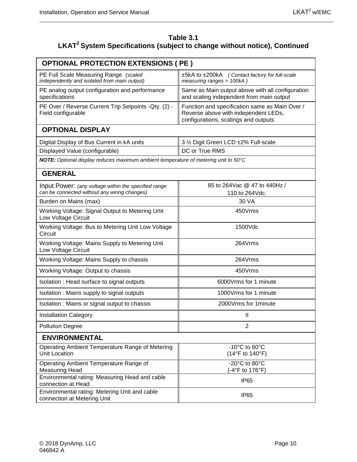#### **Table 3.1 LKAT2 System Specifications (subject to change without notice), Continued**

| <b>OPTIONAL PROTECTION EXTENSIONS ( PE )</b>                                                         |                                                                                                                                |  |  |  |  |  |
|------------------------------------------------------------------------------------------------------|--------------------------------------------------------------------------------------------------------------------------------|--|--|--|--|--|
| PE Full Scale Measuring Range (scaled<br>independently and isolated from main output)                | ±5kA to ±200kA (Contact factory for full-scale<br>measuring ranges > 100kA)                                                    |  |  |  |  |  |
| PE analog output configuration and performance<br>specifications                                     | Same as Main output above with all configuration<br>and scaling independent from main output                                   |  |  |  |  |  |
| PE Over / Reverse Current Trip Setpoints - Qty. (2) -<br>Field configurable                          | Function and specification same as Main Over /<br>Reverse above with independent LEDs,<br>configurations, scalings and outputs |  |  |  |  |  |
| <b>OPTIONAL DISPLAY</b>                                                                              |                                                                                                                                |  |  |  |  |  |
| Digital Display of Bus Current in kA units                                                           | 3 1/2 Digit Green LCD ±2% Full-scale                                                                                           |  |  |  |  |  |
| Displayed Value (configurable)                                                                       | DC or True RMS                                                                                                                 |  |  |  |  |  |
| NOTE: Optional display reduces maximum ambient temperature of metering unit to 50°C                  |                                                                                                                                |  |  |  |  |  |
| <b>GENERAL</b>                                                                                       |                                                                                                                                |  |  |  |  |  |
| Input Power: (any voltage within the specified range<br>can be connected without any wiring changes) | 85 to 264 Vac @ 47 to 440 Hz /<br>110 to 264Vdc.                                                                               |  |  |  |  |  |
| Burden on Mains (max)                                                                                | 30 VA                                                                                                                          |  |  |  |  |  |
| Working Voltage: Signal Output to Metering Unit<br>Low Voltage Circuit                               | 450Vrms                                                                                                                        |  |  |  |  |  |
| Working Voltage: Bus to Metering Unit Low Voltage<br>Circuit                                         | 1500Vdc                                                                                                                        |  |  |  |  |  |
| Working Voltage: Mains Supply to Metering Unit<br>Low Voltage Circuit                                | 264Vrms                                                                                                                        |  |  |  |  |  |
| Working Voltage: Mains Supply to chassis                                                             | 264Vrms                                                                                                                        |  |  |  |  |  |
| Working Voltage: Output to chassis                                                                   | 450Vrms                                                                                                                        |  |  |  |  |  |
| Isolation: Head surface to signal outputs                                                            | 6000 Vrms for 1 minute                                                                                                         |  |  |  |  |  |
| Isolation: Mains supply to signal outputs                                                            | 1000Vrms for 1 minute                                                                                                          |  |  |  |  |  |
| Isolation: Mains or signal output to chassis                                                         | 2000 Vrms for 1 minute                                                                                                         |  |  |  |  |  |
| <b>Installation Category</b>                                                                         | Ш                                                                                                                              |  |  |  |  |  |
| <b>Pollution Degree</b>                                                                              | $\overline{2}$                                                                                                                 |  |  |  |  |  |
| <b>ENVIRONMENTAL</b>                                                                                 |                                                                                                                                |  |  |  |  |  |
| Operating Ambient Temperature Range of Metering<br><b>Unit Location</b>                              | -10 $^{\circ}$ C to 60 $^{\circ}$ C<br>(14°F to 140°F)                                                                         |  |  |  |  |  |
| Operating Ambient Temperature Range of<br><b>Measuring Head</b>                                      | $-20^{\circ}$ C to 80 $^{\circ}$ C<br>(-4°F to 176°F)                                                                          |  |  |  |  |  |
| Environmental rating: Measuring Head and cable<br>connection at Head                                 | <b>IP65</b>                                                                                                                    |  |  |  |  |  |
| Environmental rating: Metering Unit and cable<br>connection at Metering Unit                         | IP <sub>65</sub>                                                                                                               |  |  |  |  |  |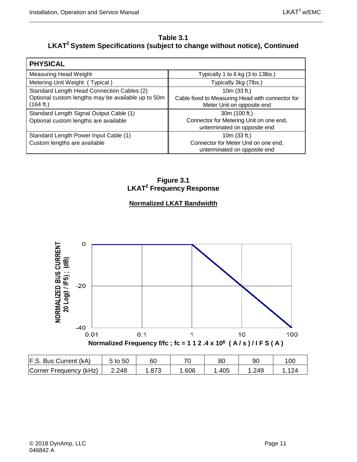#### **Table 3.1 LKAT2 System Specifications (subject to change without notice), Continued**

| <b>PHYSICAL</b>                                                 |                                                                                |
|-----------------------------------------------------------------|--------------------------------------------------------------------------------|
| Measuring Head Weight                                           | Typically 1 to 6 kg (3 to 13lbs.)                                              |
| Metering Unit Weight (Typical)                                  | Typically 3kg (7lbs.)                                                          |
| Standard Length Head Connection Cables (2)                      | 10 $m(33 ft.)$                                                                 |
| Optional custom lengths may be available up to 50m<br>(164 ft.) | Cable fixed to Measuring Head with connector for<br>Meter Unit on opposite end |
| Standard Length Signal Output Cable (1)                         | 30m (100 ft.)                                                                  |
| Optional custom lengths are available                           | Connector for Metering Unit on one end,<br>unterminated on opposite end        |
| Standard Length Power Input Cable (1)                           | 10 $m(33 ft.)$                                                                 |
| Custom lengths are available                                    | Connector for Meter Unit on one end,<br>unterminated on opposite end           |

**Figure 3.1 LKAT2 Frequency Response**

#### **Normalized LKAT Bandwidth**

<span id="page-26-0"></span>

| F.S. Bus Current (kA)  | 5 to 50 | 60   | 70   | 80   |      | 10 <sub>C</sub> |
|------------------------|---------|------|------|------|------|-----------------|
| Corner Frequency (kHz) | 2.248   | .873 | .606 | .405 | .249 | 124             |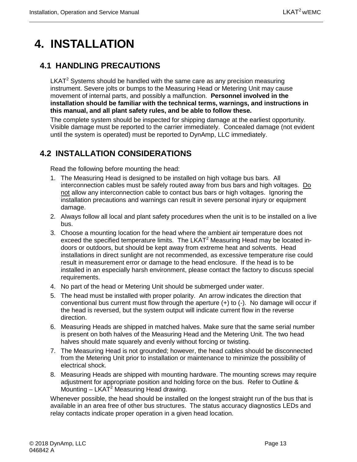# <span id="page-28-0"></span>**4. INSTALLATION**

## <span id="page-28-1"></span>**4.1 HANDLING PRECAUTIONS**

 $LKAT<sup>2</sup>$  Systems should be handled with the same care as any precision measuring instrument. Severe jolts or bumps to the Measuring Head or Metering Unit may cause movement of internal parts, and possibly a malfunction. **Personnel involved in the installation should be familiar with the technical terms, warnings, and instructions in this manual, and all plant safety rules, and be able to follow these.**

The complete system should be inspected for shipping damage at the earliest opportunity. Visible damage must be reported to the carrier immediately. Concealed damage (not evident until the system is operated) must be reported to DynAmp, LLC immediately.

# <span id="page-28-2"></span>**4.2 INSTALLATION CONSIDERATIONS**

Read the following before mounting the head:

- 1. The Measuring Head is designed to be installed on high voltage bus bars. All interconnection cables must be safely routed away from bus bars and high voltages. Do not allow any interconnection cable to contact bus bars or high voltages. Ignoring the installation precautions and warnings can result in severe personal injury or equipment damage.
- 2. Always follow all local and plant safety procedures when the unit is to be installed on a live bus.
- 3. Choose a mounting location for the head where the ambient air temperature does not exceed the specified temperature limits. The LKAT<sup>2</sup> Measuring Head may be located indoors or outdoors, but should be kept away from extreme heat and solvents. Head installations in direct sunlight are not recommended, as excessive temperature rise could result in measurement error or damage to the head enclosure. If the head is to be installed in an especially harsh environment, please contact the factory to discuss special requirements.
- 4. No part of the head or Metering Unit should be submerged under water.
- 5. The head must be installed with proper polarity. An arrow indicates the direction that conventional bus current must flow through the aperture  $(+)$  to  $(-)$ . No damage will occur if the head is reversed, but the system output will indicate current flow in the reverse direction.
- 6. Measuring Heads are shipped in matched halves. Make sure that the same serial number is present on both halves of the Measuring Head and the Metering Unit. The two head halves should mate squarely and evenly without forcing or twisting.
- 7. The Measuring Head is not grounded; however, the head cables should be disconnected from the Metering Unit prior to installation or maintenance to minimize the possibility of electrical shock.
- 8. Measuring Heads are shipped with mounting hardware. The mounting screws may require adjustment for appropriate position and holding force on the bus. Refer to Outline & Mounting  $-$  LKAT<sup>2</sup> Measuring Head drawing.

Whenever possible, the head should be installed on the longest straight run of the bus that is available in an area free of other bus structures. The status accuracy diagnostics LEDs and relay contacts indicate proper operation in a given head location.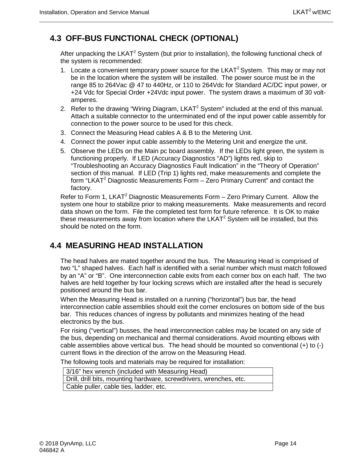# <span id="page-29-0"></span>**4.3 OFF-BUS FUNCTIONAL CHECK (OPTIONAL)**

After unpacking the LKAT<sup>2</sup> System (but prior to installation), the following functional check of the system is recommended:

- 1. Locate a convenient temporary power source for the LKAT<sup>2</sup> System. This may or may not be in the location where the system will be installed. The power source must be in the range 85 to 264Vac @ 47 to 440Hz, or 110 to 264Vdc for Standard AC/DC input power, or +24 Vdc for Special Order +24Vdc input power. The system draws a maximum of 30 voltamperes.
- 2. Refer to the drawing "Wiring Diagram,  $LKAT^2$  System" included at the end of this manual. Attach a suitable connector to the unterminated end of the input power cable assembly for connection to the power source to be used for this check.
- 3. Connect the Measuring Head cables A & B to the Metering Unit.
- 4. Connect the power input cable assembly to the Metering Unit and energize the unit.
- 5. Observe the LEDs on the Main pc board assembly. If the LEDs light green, the system is functioning properly. If LED (Accuracy Diagnostics "AD") lights red, skip to "Troubleshooting an Accuracy Diagnostics Fault Indication" in the "Theory of Operation" section of this manual. If LED (Trip 1) lights red, make measurements and complete the form "LKAT<sup>2</sup> Diagnostic Measurements Form  $-$  Zero Primary Current" and contact the factory.

Refer to Form 1, LKAT<sup>2</sup> Diagnostic Measurements Form – Zero Primary Current. Allow the system one hour to stabilize prior to making measurements. Make measurements and record data shown on the form. File the completed test form for future reference. It is OK to make these measurements away from location where the LKAT<sup>2</sup> System will be installed, but this should be noted on the form.

## <span id="page-29-1"></span>**4.4 MEASURING HEAD INSTALLATION**

The head halves are mated together around the bus. The Measuring Head is comprised of two "L" shaped halves. Each half is identified with a serial number which must match followed by an "A" or "B". One interconnection cable exits from each corner box on each half. The two halves are held together by four locking screws which are installed after the head is securely positioned around the bus bar.

When the Measuring Head is installed on a running ("horizontal") bus bar, the head interconnection cable assemblies should exit the corner enclosures on bottom side of the bus bar. This reduces chances of ingress by pollutants and minimizes heating of the head electronics by the bus.

For rising ("vertical") busses, the head interconnection cables may be located on any side of the bus, depending on mechanical and thermal considerations. Avoid mounting elbows with cable assemblies above vertical bus. The head should be mounted so conventional (+) to (-) current flows in the direction of the arrow on the Measuring Head.

The following tools and materials may be required for installation:

| 3/16" hex wrench (included with Measuring Head)                    |  |  |  |  |
|--------------------------------------------------------------------|--|--|--|--|
| Drill, drill bits, mounting hardware, screwdrivers, wrenches, etc. |  |  |  |  |
| Cable puller, cable ties, ladder, etc.                             |  |  |  |  |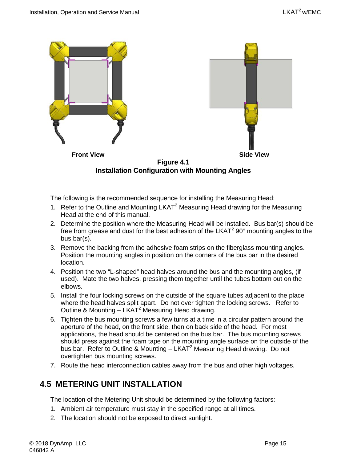

<span id="page-30-1"></span>The following is the recommended sequence for installing the Measuring Head:

- 1. Refer to the Outline and Mounting  $LKAT<sup>2</sup>$  Measuring Head drawing for the Measuring Head at the end of this manual.
- 2. Determine the position where the Measuring Head will be installed. Bus bar(s) should be free from grease and dust for the best adhesion of the LKAT<sup>2</sup> 90 $^{\circ}$  mounting angles to the bus bar(s).
- 3. Remove the backing from the adhesive foam strips on the fiberglass mounting angles. Position the mounting angles in position on the corners of the bus bar in the desired location.
- 4. Position the two "L-shaped" head halves around the bus and the mounting angles, (if used). Mate the two halves, pressing them together until the tubes bottom out on the elbows.
- 5. Install the four locking screws on the outside of the square tubes adjacent to the place where the head halves split apart. Do not over tighten the locking screws. Refer to Outline & Mounting –  $LKAT^2$  Measuring Head drawing.
- 6. Tighten the bus mounting screws a few turns at a time in a circular pattern around the aperture of the head, on the front side, then on back side of the head. For most applications, the head should be centered on the bus bar. The bus mounting screws should press against the foam tape on the mounting angle surface on the outside of the bus bar. Refer to Outline & Mounting  $-$  LKAT<sup>2</sup> Measuring Head drawing. Do not overtighten bus mounting screws.
- 7. Route the head interconnection cables away from the bus and other high voltages.

## <span id="page-30-0"></span>**4.5 METERING UNIT INSTALLATION**

The location of the Metering Unit should be determined by the following factors:

- 1. Ambient air temperature must stay in the specified range at all times.
- 2. The location should not be exposed to direct sunlight.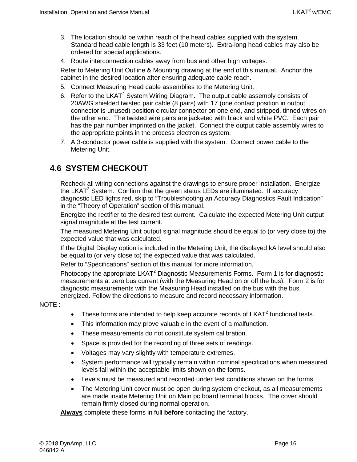- 3. The location should be within reach of the head cables supplied with the system. Standard head cable length is 33 feet (10 meters). Extra-long head cables may also be ordered for special applications.
- 4. Route interconnection cables away from bus and other high voltages.

Refer to Metering Unit Outline & Mounting drawing at the end of this manual. Anchor the cabinet in the desired location after ensuring adequate cable reach.

- 5. Connect Measuring Head cable assemblies to the Metering Unit.
- 6. Refer to the LKAT<sup>2</sup> System Wiring Diagram. The output cable assembly consists of 20AWG shielded twisted pair cable (8 pairs) with 17 (one contact position in output connector is unused) position circular connector on one end, and stripped, tinned wires on the other end. The twisted wire pairs are jacketed with black and white PVC. Each pair has the pair number imprinted on the jacket. Connect the output cable assembly wires to the appropriate points in the process electronics system.
- 7. A 3-conductor power cable is supplied with the system. Connect power cable to the Metering Unit.

## <span id="page-31-0"></span>**4.6 SYSTEM CHECKOUT**

Recheck all wiring connections against the drawings to ensure proper installation. Energize the LKAT<sup>2</sup> System. Confirm that the green status LEDs are illuminated. If accuracy diagnostic LED lights red, skip to "Troubleshooting an Accuracy Diagnostics Fault Indication" in the "Theory of Operation" section of this manual.

Energize the rectifier to the desired test current. Calculate the expected Metering Unit output signal magnitude at the test current.

The measured Metering Unit output signal magnitude should be equal to (or very close to) the expected value that was calculated.

If the Digital Display option is included in the Metering Unit, the displayed kA level should also be equal to (or very close to) the expected value that was calculated.

Refer to "Specifications" section of this manual for more information.

Photocopy the appropriate LKAT<sup>2</sup> Diagnostic Measurements Forms. Form 1 is for diagnostic measurements at zero bus current (with the Measuring Head on or off the bus). Form 2 is for diagnostic measurements with the Measuring Head installed on the bus with the bus energized. Follow the directions to measure and record necessary information.

NOTE :

- These forms are intended to help keep accurate records of  $LKAT<sup>2</sup>$  functional tests.
- This information may prove valuable in the event of a malfunction.
- These measurements do not constitute system calibration.
- Space is provided for the recording of three sets of readings.
- Voltages may vary slightly with temperature extremes.
- System performance will typically remain within nominal specifications when measured levels fall within the acceptable limits shown on the forms.
- Levels must be measured and recorded under test conditions shown on the forms.
- The Metering Unit cover must be open during system checkout, as all measurements are made inside Metering Unit on Main pc board terminal blocks. The cover should remain firmly closed during normal operation.

**Always** complete these forms in full **before** contacting the factory.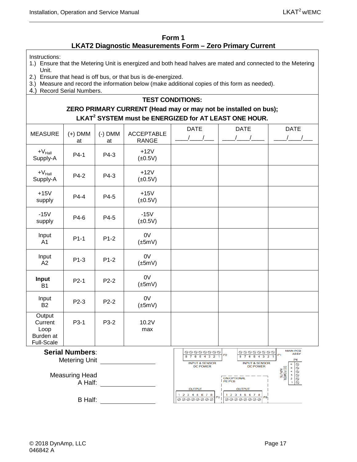#### **Form 1 LKAT2 Diagnostic Measurements Form – Zero Primary Current**

#### <span id="page-32-0"></span>Instructions:

- 1.) Ensure that the Metering Unit is energized and both head halves are mated and connected to the Metering Unit.
- 2.) Ensure that head is off bus, or that bus is de-energized.
- 3.) Measure and record the information below (make additional copies of this form as needed).
- 4.) Record Serial Numbers.

#### **TEST CONDITIONS:**

#### **ZERO PRIMARY CURRENT (Head may or may not be installed on bus); LKAT2 SYSTEM must be ENERGIZED for AT LEAST ONE HOUR.**

| <b>MEASURE</b>                                              | $(+)$ DMM<br>at                  | $(-)$ DMM<br>at | <b>ACCEPTABLE</b><br><b>RANGE</b> | <b>DATE</b><br>$\sqrt{1}$                                                        | <b>DATE</b><br>$\sqrt{2}$                                                                                        | <b>DATE</b><br>$\sqrt{2}$                                                                                     |
|-------------------------------------------------------------|----------------------------------|-----------------|-----------------------------------|----------------------------------------------------------------------------------|------------------------------------------------------------------------------------------------------------------|---------------------------------------------------------------------------------------------------------------|
| $+V_{\text{Hall}}$<br>Supply-A                              | $P4-1$                           | P4-3            | $+12V$<br>$(\pm 0.5V)$            |                                                                                  |                                                                                                                  |                                                                                                               |
| $+V_{\text{Hall}}$<br>Supply-A                              | P4-2                             | P4-3            | $+12V$<br>$(\pm 0.5V)$            |                                                                                  |                                                                                                                  |                                                                                                               |
| $+15V$<br>supply                                            | $P4-4$                           | P4-5            | $+15V$<br>$(\pm 0.5V)$            |                                                                                  |                                                                                                                  |                                                                                                               |
| $-15V$<br>supply                                            | P4-6                             | P4-5            | $-15V$<br>$(\pm 0.5V)$            |                                                                                  |                                                                                                                  |                                                                                                               |
| Input<br>A1                                                 | $P1-1$                           | $P1-2$          | 0V<br>$(\pm 5mV)$                 |                                                                                  |                                                                                                                  |                                                                                                               |
| Input<br>A2                                                 | $P1-3$                           | $P1-2$          | 0V<br>$(\pm 5mV)$                 |                                                                                  |                                                                                                                  |                                                                                                               |
| Input<br><b>B1</b>                                          | $P2-1$                           | $P2-2$          | 0V<br>$(\pm 5mV)$                 |                                                                                  |                                                                                                                  |                                                                                                               |
| Input<br><b>B2</b>                                          | P2-3                             | $P2-2$          | 0V<br>$(\pm 5mV)$                 |                                                                                  |                                                                                                                  |                                                                                                               |
| Output<br>Current<br>Loop<br>Burden at<br><b>Full-Scale</b> | P3-1                             | P3-2            | 10.2V<br>max                      |                                                                                  |                                                                                                                  |                                                                                                               |
| <b>Serial Numbers:</b><br><b>Metering Unit</b>              |                                  |                 |                                   | $\circledcirc \circledcirc \circledcirc \circledcirc$<br>8 7 6 5 4<br>3          | <b>@@@@@@@</b><br>P <sub>2</sub><br>-5<br>$\overline{7}$<br>6<br>$\overline{4}$                                  | <b>MAIN PCB</b><br><b>ASSY</b><br>P <sub>4</sub>                                                              |
|                                                             | <b>Measuring Head</b><br>A Half: |                 |                                   | <b>INPUT &amp; SENSOR</b><br><b>DC POWER</b><br><b>OUTPUT</b><br>1 2 3 4 5 6 7 8 | <b>INPUT &amp; SENSOR</b><br><b>DC POWER</b><br><b>ON OPTIONAL</b><br>PE PCB<br><b>OUTPUT</b><br>1 2 3 4 5 6 7 8 | $\circledcirc$<br>$ \tilde{\circ}$<br>DC POWER<br>$54$<br>$32$<br>$1$<br>$\circledcirc$<br>$ \tilde{\otimes}$ |
|                                                             | <b>B</b> Half:                   |                 |                                   | P3<br>00000000                                                                   | P9<br>00000000                                                                                                   |                                                                                                               |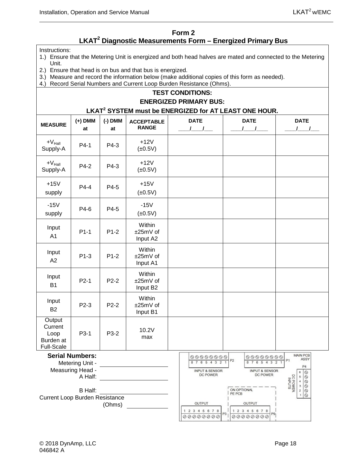#### **Form 2 LKAT2 Diagnostic Measurements Form – Energized Primary Bus**

<span id="page-33-0"></span>Instructions:

- 1.) Ensure that the Metering Unit is energized and both head halves are mated and connected to the Metering Unit.
- 2.) Ensure that head is on bus and that bus is energized.
- 3.) Measure and record the information below (make additional copies of this form as needed).

#### 4.) Record Serial Numbers and Current Loop Burden Resistance (Ohms). **TEST CONDITIONS: ENERGIZED PRIMARY BUS: LKAT2 SYSTEM must be ENERGIZED for AT LEAST ONE HOUR. MEASURE (+) DMM (-) DMM ACCEPTABLE DATE DATE DATE RANGE at at \_\_\_\_/\_\_\_\_/\_\_\_ \_\_\_\_/\_\_\_\_/\_\_\_ \_\_\_\_/\_\_\_\_/\_\_\_\_**  $+V_{\text{Hall}}$ Supply-A Supply-A P4-1 P4-3 +12V  $(\pm 0.5V)$  $+V_{\text{Hall}}$  $+V_{\text{Hall}}$  P4-2 P4-3  $+12V$ <br>Supply-A P4-2 P4-3  $+12V$  $(\pm 0.5V)$ +15V  $P4-4$   $P4-5$   $+15V$ supply  $(\pm 0.5V)$ -15V  $P4-6$   $P4-5$   $(0.5)$ supply  $(±0.5V)$ **Within** Input  $P1-1$  P1-2 ±25mV of A1 Input A2 **Within** Input  $P1-3$  |  $P1-2$ ±25mV of A2 Input A1 **Within** Input  $P2-1$  P2-2 ±25mV of B1 Input B2 **Within** Input  $P2-3$  P2-2 ±25mV of B2 Input B1 **Output Current**  $P3-1$   $P3-2$  10.2V Loop max Burden at Full-Scale **Serial Numbers:** MAIN PCB 00000000 00000000  $P<sub>2</sub>$ ASSY  $P<sub>1</sub>$ 87654321 87654321 Metering Unit - P4 Measuring Head - **INPUT & SENSOR INPUT & SENSOR**  $. 3430000$ DC POWER DC POWER DC POWER<br>INPUTS A Half: ON OPTIONAL B Half: PE PCB  $\mathbf{1}$  $\circledcirc$

OUTPUT

1 2 3 4 5 6 7 8

00000000

P3



OUTPUT

1 2 3 4 5 6 7 8

00000000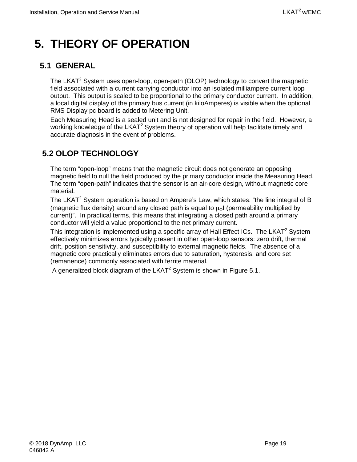# <span id="page-34-0"></span>**5. THEORY OF OPERATION**

# <span id="page-34-1"></span>**5.1 GENERAL**

The LKAT<sup>2</sup> System uses open-loop, open-path (OLOP) technology to convert the magnetic field associated with a current carrying conductor into an isolated milliampere current loop output. This output is scaled to be proportional to the primary conductor current. In addition, a local digital display of the primary bus current (in kiloAmperes) is visible when the optional RMS Display pc board is added to Metering Unit.

Each Measuring Head is a sealed unit and is not designed for repair in the field. However, a working knowledge of the LKAT<sup>2</sup> System theory of operation will help facilitate timely and accurate diagnosis in the event of problems.

# <span id="page-34-2"></span>**5.2 OLOP TECHNOLOGY**

The term "open-loop" means that the magnetic circuit does not generate an opposing magnetic field to null the field produced by the primary conductor inside the Measuring Head. The term "open-path" indicates that the sensor is an air-core design, without magnetic core material.

The LKAT<sup>2</sup> System operation is based on Ampere's Law, which states: "the line integral of B (magnetic flux density) around any closed path is equal to  $\mu_0$  (permeability multiplied by current)". In practical terms, this means that integrating a closed path around a primary conductor will yield a value proportional to the net primary current.

This integration is implemented using a specific array of Hall Effect ICs. The LKAT<sup>2</sup> System effectively minimizes errors typically present in other open-loop sensors: zero drift, thermal drift, position sensitivity, and susceptibility to external magnetic fields. The absence of a magnetic core practically eliminates errors due to saturation, hysteresis, and core set (remanence) commonly associated with ferrite material.

A generalized block diagram of the LKAT<sup>2</sup> System is shown in Figure 5.1.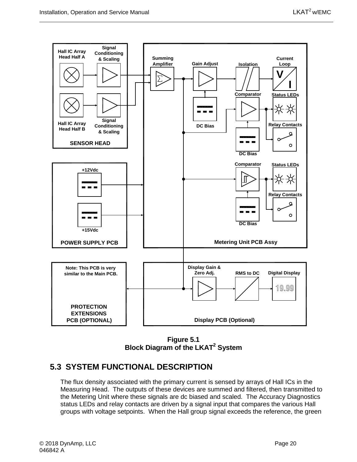

**Figure 5.1 Block Diagram of the LKAT2 System**

#### <span id="page-35-1"></span><span id="page-35-0"></span>**5.3 SYSTEM FUNCTIONAL DESCRIPTION**

The flux density associated with the primary current is sensed by arrays of Hall ICs in the Measuring Head. The outputs of these devices are summed and filtered, then transmitted to the Metering Unit where these signals are dc biased and scaled. The Accuracy Diagnostics status LEDs and relay contacts are driven by a signal input that compares the various Hall groups with voltage setpoints. When the Hall group signal exceeds the reference, the green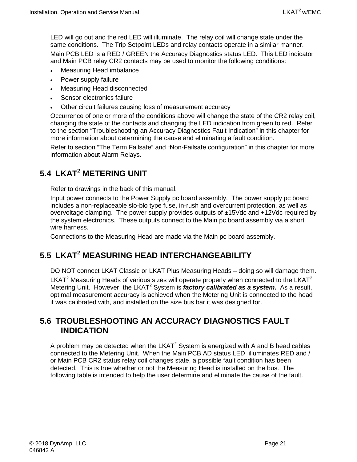LED will go out and the red LED will illuminate. The relay coil will change state under the same conditions. The Trip Setpoint LEDs and relay contacts operate in a similar manner. Main PCB LED is a RED / GREEN the Accuracy Diagnostics status LED. This LED indicator and Main PCB relay CR2 contacts may be used to monitor the following conditions:

- Measuring Head imbalance
- Power supply failure
- Measuring Head disconnected
- Sensor electronics failure
- Other circuit failures causing loss of measurement accuracy

Occurrence of one or more of the conditions above will change the state of the CR2 relay coil, changing the state of the contacts and changing the LED indication from green to red. Refer to the section "Troubleshooting an Accuracy Diagnostics Fault Indication" in this chapter for more information about determining the cause and eliminating a fault condition.

Refer to section "The Term Failsafe" and "Non-Failsafe configuration" in this chapter for more information about Alarm Relays.

# <span id="page-36-0"></span>**5.4 LKAT2 METERING UNIT**

Refer to drawings in the back of this manual.

Input power connects to the Power Supply pc board assembly. The power supply pc board includes a non-replaceable slo-blo type fuse, in-rush and overcurrent protection, as well as overvoltage clamping. The power supply provides outputs of  $\pm$ 15Vdc and +12Vdc required by the system electronics. These outputs connect to the Main pc board assembly via a short wire harness.

Connections to the Measuring Head are made via the Main pc board assembly.

# <span id="page-36-1"></span>**5.5 LKAT2 MEASURING HEAD INTERCHANGEABILITY**

DO NOT connect LKAT Classic or LKAT Plus Measuring Heads – doing so will damage them. LKAT<sup>2</sup> Measuring Heads of various sizes will operate properly when connected to the LKAT<sup>2</sup> Metering Unit. However, the LKAT<sup>2</sup> System is *factory calibrated as a system*. As a result, optimal measurement accuracy is achieved when the Metering Unit is connected to the head it was calibrated with, and installed on the size bus bar it was designed for.

#### <span id="page-36-2"></span>**5.6 TROUBLESHOOTING AN ACCURACY DIAGNOSTICS FAULT INDICATION**

A problem may be detected when the  $LKAT^2$  System is energized with A and B head cables connected to the Metering Unit. When the Main PCB AD status LED illuminates RED and / or Main PCB CR2 status relay coil changes state, a possible fault condition has been detected. This is true whether or not the Measuring Head is installed on the bus. The following table is intended to help the user determine and eliminate the cause of the fault.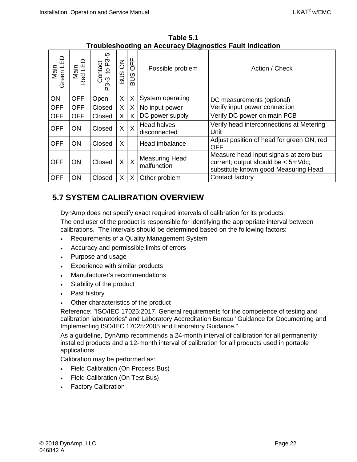<span id="page-37-1"></span>

| Main<br>Green LED | Main<br>Red LED | Ю<br>Contact<br>-3 to P3-<br>ကု<br>نې | $\overline{6}$<br>SUS | OFF<br>SUB | Possible problem                     | Action / Check                                                                                                       |
|-------------------|-----------------|---------------------------------------|-----------------------|------------|--------------------------------------|----------------------------------------------------------------------------------------------------------------------|
| ON                | <b>OFF</b>      | Open                                  | X                     | X          | System operating                     | DC measurements (optional)                                                                                           |
| <b>OFF</b>        | <b>OFF</b>      | Closed                                | X                     | X          | No input power                       | Verify input power connection                                                                                        |
| <b>OFF</b>        | <b>OFF</b>      | Closed                                | X                     | X          | DC power supply                      | Verify DC power on main PCB                                                                                          |
| <b>OFF</b>        | <b>ON</b>       | Closed                                | X                     | $\sf X$    | Head halves<br>disconnected          | Verify head interconnections at Metering<br>Unit                                                                     |
| <b>OFF</b>        | <b>ON</b>       | Closed                                | X                     |            | Head imbalance                       | Adjust position of head for green ON, red<br><b>OFF</b>                                                              |
| <b>OFF</b>        | <b>ON</b>       | Closed                                | X                     | $\sf X$    | <b>Measuring Head</b><br>malfunction | Measure head input signals at zero bus<br>current; output should be < 5mVdc;<br>substitute known good Measuring Head |
| <b>OFF</b>        | ON              | Closed                                | X                     | X          | Other problem                        | Contact factory                                                                                                      |

**Table 5.1 Troubleshooting an Accuracy Diagnostics Fault Indication** 

## <span id="page-37-0"></span>**5.7 SYSTEM CALIBRATION OVERVIEW**

DynAmp does not specify exact required intervals of calibration for its products. The end user of the product is responsible for identifying the appropriate interval between calibrations. The intervals should be determined based on the following factors:

- Requirements of a Quality Management System
- Accuracy and permissible limits of errors
- Purpose and usage
- Experience with similar products
- Manufacturer's recommendations
- Stability of the product
- Past history
- Other characteristics of the product

Reference: "ISO/IEC 17025:2017, General requirements for the competence of testing and calibration laboratories" and Laboratory Accreditation Bureau "Guidance for Documenting and Implementing ISO/IEC 17025:2005 and Laboratory Guidance."

As a guideline, DynAmp recommends a 24-month interval of calibration for all permanently installed products and a 12-month interval of calibration for all products used in portable applications.

Calibration may be performed as:

- Field Calibration (On Process Bus)
- Field Calibration (On Test Bus)
- **Factory Calibration**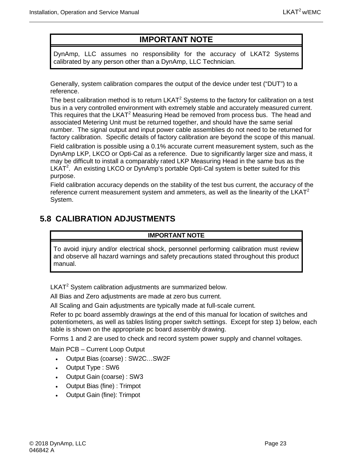# **IMPORTANT NOTE**

DynAmp, LLC assumes no responsibility for the accuracy of LKAT2 Systems calibrated by any person other than a DynAmp, LLC Technician.

Generally, system calibration compares the output of the device under test ("DUT") to a reference.

The best calibration method is to return  $LKAT<sup>2</sup>$  Systems to the factory for calibration on a test bus in a very controlled environment with extremely stable and accurately measured current. This requires that the LKAT<sup>2</sup> Measuring Head be removed from process bus. The head and associated Metering Unit must be returned together, and should have the same serial number. The signal output and input power cable assemblies do not need to be returned for factory calibration. Specific details of factory calibration are beyond the scope of this manual.

Field calibration is possible using a 0.1% accurate current measurement system, such as the DynAmp LKP, LKCO or Opti-Cal as a reference. Due to significantly larger size and mass, it may be difficult to install a comparably rated LKP Measuring Head in the same bus as the LKAT<sup>2</sup>. An existing LKCO or DynAmp's portable Opti-Cal system is better suited for this purpose.

Field calibration accuracy depends on the stability of the test bus current, the accuracy of the reference current measurement system and ammeters, as well as the linearity of the LKAT<sup>2</sup> System.

# <span id="page-38-0"></span>**5.8 CALIBRATION ADJUSTMENTS**

#### **IMPORTANT NOTE**

To avoid injury and/or electrical shock, personnel performing calibration must review and observe all hazard warnings and safety precautions stated throughout this product manual.

LKAT<sup>2</sup> System calibration adjustments are summarized below.

All Bias and Zero adjustments are made at zero bus current.

All Scaling and Gain adjustments are typically made at full-scale current.

Refer to pc board assembly drawings at the end of this manual for location of switches and potentiometers, as well as tables listing proper switch settings. Except for step 1) below, each table is shown on the appropriate pc board assembly drawing.

Forms 1 and 2 are used to check and record system power supply and channel voltages.

Main PCB – Current Loop Output

- Output Bias (coarse) : SW2C…SW2F
- Output Type : SW6
- Output Gain (coarse) : SW3
- Output Bias (fine) : Trimpot
- Output Gain (fine): Trimpot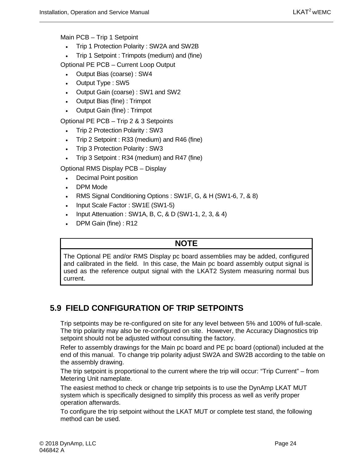Main PCB – Trip 1 Setpoint

- Trip 1 Protection Polarity : SW2A and SW2B
- Trip 1 Setpoint : Trimpots (medium) and (fine)

Optional PE PCB – Current Loop Output

- Output Bias (coarse) : SW4
- Output Type : SW5
- Output Gain (coarse) : SW1 and SW2
- Output Bias (fine) : Trimpot
- Output Gain (fine) : Trimpot

Optional PE PCB – Trip 2 & 3 Setpoints

- Trip 2 Protection Polarity: SW3
- Trip 2 Setpoint : R33 (medium) and R46 (fine)
- Trip 3 Protection Polarity : SW3
- Trip 3 Setpoint : R34 (medium) and R47 (fine)

Optional RMS Display PCB – Display

- Decimal Point position
- DPM Mode
- RMS Signal Conditioning Options : SW1F, G, & H (SW1-6, 7, & 8)
- Input Scale Factor : SW1E (SW1-5)
- Input Attenuation : SW1A, B, C, & D (SW1-1, 2, 3, & 4)
- DPM Gain (fine) : R12

## **NOTE**

The Optional PE and/or RMS Display pc board assemblies may be added, configured and calibrated in the field. In this case, the Main pc board assembly output signal is used as the reference output signal with the LKAT2 System measuring normal bus current.

# <span id="page-39-0"></span>**5.9 FIELD CONFIGURATION OF TRIP SETPOINTS**

Trip setpoints may be re-configured on site for any level between 5% and 100% of full-scale. The trip polarity may also be re-configured on site. However, the Accuracy Diagnostics trip setpoint should not be adjusted without consulting the factory.

Refer to assembly drawings for the Main pc board and PE pc board (optional) included at the end of this manual. To change trip polarity adjust SW2A and SW2B according to the table on the assembly drawing.

The trip setpoint is proportional to the current where the trip will occur: "Trip Current" – from Metering Unit nameplate.

The easiest method to check or change trip setpoints is to use the DynAmp LKAT MUT system which is specifically designed to simplify this process as well as verify proper operation afterwards.

To configure the trip setpoint without the LKAT MUT or complete test stand, the following method can be used.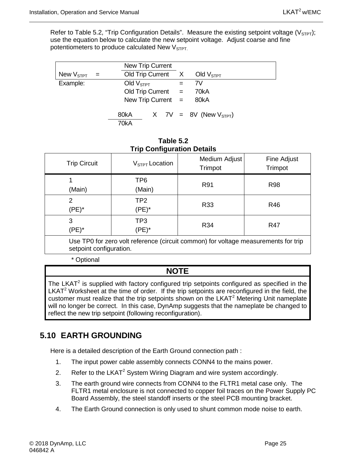Refer to Table 5.2, "Trip Configuration Details". Measure the existing setpoint voltage ( $V_{\text{STP}}$ ); use the equation below to calculate the new setpoint voltage. Adjust coarse and fine potentiometers to produce calculated New  $V<sub>STPT</sub>$ .

|                                  | <b>New Trip Current</b> |  |                             |
|----------------------------------|-------------------------|--|-----------------------------|
| New $\mathsf{V}_{\texttt{STPT}}$ | Old Trip Current X      |  | Old $V_{\text{STPT}}$       |
| Example:                         | Old $VSTPT$             |  | 7V                          |
|                                  | Old Trip Current $=$    |  | 70kA                        |
|                                  | New Trip Current $=$    |  | 80kA                        |
|                                  | 80kA<br>70kA            |  | X 7V = 8V (New $V_{STPT}$ ) |

| Table 5.2                         |
|-----------------------------------|
| <b>Trip Configuration Details</b> |

<span id="page-40-1"></span>

| <b>Trip Circuit</b>                                                                                                                          | $V_{STPT}$ Location         | Medium Adjust<br>Trimpot | Fine Adjust<br>Trimpot |
|----------------------------------------------------------------------------------------------------------------------------------------------|-----------------------------|--------------------------|------------------------|
| (Main)                                                                                                                                       | TP <sub>6</sub><br>(Main)   | R91                      | <b>R98</b>             |
| 2<br>$(PE)^*$                                                                                                                                | TP <sub>2</sub><br>$(PE)^*$ | R33                      | R46                    |
| 3<br>$(PE)^*$                                                                                                                                | TP3<br>(PE)*                | R34                      | <b>R47</b>             |
| Use TP0 for zero volt reference (circuit common) for voltage measurements for trip<br>a de la calva de la calva d'altres segundo de la calva |                             |                          |                        |

setpoint configuration.

\* Optional

## **NOTE**

The LKAT $2$  is supplied with factory configured trip setpoints configured as specified in the LKAT<sup>2</sup> Worksheet at the time of order. If the trip setpoints are reconfigured in the field, the customer must realize that the trip setpoints shown on the LKAT<sup>2</sup> Metering Unit nameplate will no longer be correct. In this case, DynAmp suggests that the nameplate be changed to reflect the new trip setpoint (following reconfiguration).

# <span id="page-40-0"></span>**5.10 EARTH GROUNDING**

Here is a detailed description of the Earth Ground connection path :

- 1. The input power cable assembly connects CONN4 to the mains power.
- 2. Refer to the LKAT<sup>2</sup> System Wiring Diagram and wire system accordingly.
- 3. The earth ground wire connects from CONN4 to the FLTR1 metal case only. The FLTR1 metal enclosure is not connected to copper foil traces on the Power Supply PC Board Assembly, the steel standoff inserts or the steel PCB mounting bracket.
- 4. The Earth Ground connection is only used to shunt common mode noise to earth.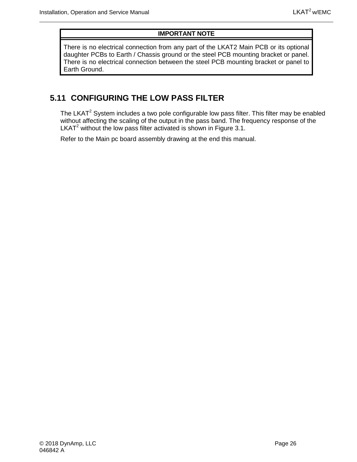#### **IMPORTANT NOTE**

There is no electrical connection from any part of the LKAT2 Main PCB or its optional daughter PCBs to Earth / Chassis ground or the steel PCB mounting bracket or panel. There is no electrical connection between the steel PCB mounting bracket or panel to Earth Ground.

#### <span id="page-41-0"></span>**5.11 CONFIGURING THE LOW PASS FILTER**

The LKAT<sup>2</sup> System includes a two pole configurable low pass filter. This filter may be enabled without affecting the scaling of the output in the pass band. The frequency response of the LKAT<sup>2</sup> without the low pass filter activated is shown in Figure 3.1.

Refer to the Main pc board assembly drawing at the end this manual.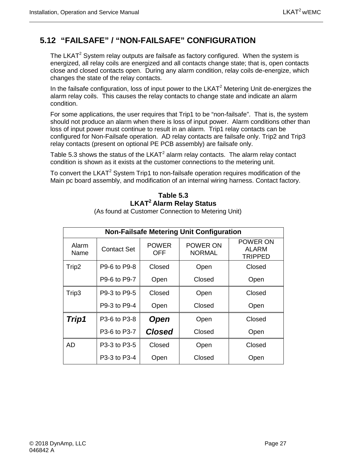## <span id="page-42-0"></span>**5.12 "FAILSAFE" / "NON-FAILSAFE" CONFIGURATION**

The LKAT $2$  System relay outputs are failsafe as factory configured. When the system is energized, all relay coils are energized and all contacts change state; that is, open contacts close and closed contacts open. During any alarm condition, relay coils de-energize, which changes the state of the relay contacts.

In the failsafe configuration, loss of input power to the  $LKAT<sup>2</sup>$  Metering Unit de-energizes the alarm relay coils. This causes the relay contacts to change state and indicate an alarm condition.

For some applications, the user requires that Trip1 to be "non-failsafe". That is, the system should not produce an alarm when there is loss of input power. Alarm conditions other than loss of input power must continue to result in an alarm. Trip1 relay contacts can be configured for Non-Failsafe operation. AD relay contacts are failsafe only. Trip2 and Trip3 relay contacts (present on optional PE PCB assembly) are failsafe only.

Table 5.3 shows the status of the  $LKAT^2$  alarm relay contacts. The alarm relay contact condition is shown as it exists at the customer connections to the metering unit.

<span id="page-42-1"></span>To convert the LKAT<sup>2</sup> System Trip1 to non-failsafe operation requires modification of the Main pc board assembly, and modification of an internal wiring harness. Contact factory.

#### **Table 5.3 LKAT2 Alarm Relay Status** (As found at Customer Connection to Metering Unit)

|  | www.communicallyticallyticallyticallyticallyticallyticallyticallyticallyticallyticallyticallytically |  |
|--|------------------------------------------------------------------------------------------------------|--|
|  |                                                                                                      |  |
|  |                                                                                                      |  |

| <b>Non-Failsafe Metering Unit Configuration</b> |                    |                            |                           |                                     |  |  |
|-------------------------------------------------|--------------------|----------------------------|---------------------------|-------------------------------------|--|--|
| Alarm<br>Name                                   | <b>Contact Set</b> | <b>POWER</b><br><b>OFF</b> | POWER ON<br><b>NORMAL</b> | POWER ON<br>ALARM<br><b>TRIPPED</b> |  |  |
| Trip2                                           | P9-6 to P9-8       | Closed                     | Open                      | Closed                              |  |  |
|                                                 | P9-6 to P9-7       | Open                       | Closed                    | Open                                |  |  |
| Trip3                                           | P9-3 to P9-5       | Closed                     | Open                      | Closed                              |  |  |
|                                                 | P9-3 to P9-4       | Open                       | Closed                    | Open                                |  |  |
| Trip1                                           | P3-6 to P3-8       | <b>Open</b>                | Open                      | Closed                              |  |  |
|                                                 | P3-6 to P3-7       | <b>Closed</b>              | Closed                    | Open                                |  |  |
| AD                                              | P3-3 to P3-5       | Closed                     | Open                      | Closed                              |  |  |
|                                                 | P3-3 to P3-4       | Open                       | Closed                    | Open                                |  |  |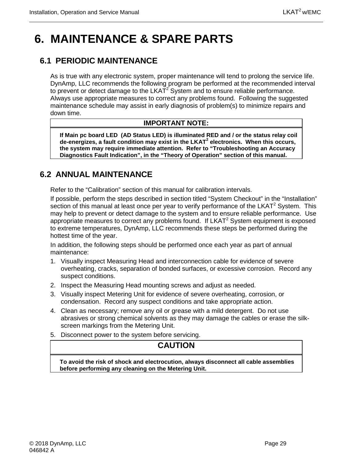# <span id="page-44-0"></span>**6. MAINTENANCE & SPARE PARTS**

# <span id="page-44-1"></span>**6.1 PERIODIC MAINTENANCE**

As is true with any electronic system, proper maintenance will tend to prolong the service life. DynAmp, LLC recommends the following program be performed at the recommended interval to prevent or detect damage to the  $LKAT<sup>2</sup>$  System and to ensure reliable performance. Always use appropriate measures to correct any problems found. Following the suggested maintenance schedule may assist in early diagnosis of problem(s) to minimize repairs and down time.

#### **IMPORTANT NOTE:**

**If Main pc board LED (AD Status LED) is illuminated RED and / or the status relay coil de-energizes, a fault condition may exist in the LKAT<sup>2</sup> electronics. When this occurs, the system may require immediate attention. Refer to "Troubleshooting an Accuracy Diagnostics Fault Indication", in the "Theory of Operation" section of this manual.**

#### <span id="page-44-2"></span>**6.2 ANNUAL MAINTENANCE**

Refer to the "Calibration" section of this manual for calibration intervals.

If possible, perform the steps described in section titled "System Checkout" in the "Installation" section of this manual at least once per year to verify performance of the  $LKAT^2$  System. This may help to prevent or detect damage to the system and to ensure reliable performance. Use appropriate measures to correct any problems found. If  $LKAT<sup>2</sup>$  System equipment is exposed to extreme temperatures, DynAmp, LLC recommends these steps be performed during the hottest time of the year.

In addition, the following steps should be performed once each year as part of annual maintenance:

- 1. Visually inspect Measuring Head and interconnection cable for evidence of severe overheating, cracks, separation of bonded surfaces, or excessive corrosion. Record any suspect conditions.
- 2. Inspect the Measuring Head mounting screws and adjust as needed.
- 3. Visually inspect Metering Unit for evidence of severe overheating, corrosion, or condensation. Record any suspect conditions and take appropriate action.
- 4. Clean as necessary; remove any oil or grease with a mild detergent. Do not use abrasives or strong chemical solvents as they may damage the cables or erase the silkscreen markings from the Metering Unit.
- 5. Disconnect power to the system before servicing.

#### **CAUTION**

**To avoid the risk of shock and electrocution, always disconnect all cable assemblies before performing any cleaning on the Metering Unit.**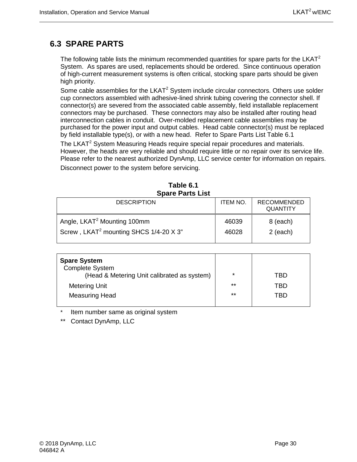## <span id="page-45-0"></span>**6.3 SPARE PARTS**

The following table lists the minimum recommended quantities for spare parts for the LKAT<sup>2</sup> System. As spares are used, replacements should be ordered. Since continuous operation of high-current measurement systems is often critical, stocking spare parts should be given high priority.

Some cable assemblies for the  $LKAT^2$  System include circular connectors. Others use solder cup connectors assembled with adhesive-lined shrink tubing covering the connector shell. If connector(s) are severed from the associated cable assembly, field installable replacement connectors may be purchased. These connectors may also be installed after routing head interconnection cables in conduit. Over-molded replacement cable assemblies may be purchased for the power input and output cables. Head cable connector(s) must be replaced by field installable type(s), or with a new head. Refer to Spare Parts List Table 6.1

The LKAT<sup>2</sup> System Measuring Heads require special repair procedures and materials. However, the heads are very reliable and should require little or no repair over its service life. Please refer to the nearest authorized DynAmp, LLC service center for information on repairs.

Disconnect power to the system before servicing.

<span id="page-45-1"></span>

| Spare Parts List                                                                              |                 |                                       |  |  |
|-----------------------------------------------------------------------------------------------|-----------------|---------------------------------------|--|--|
| <b>DESCRIPTION</b>                                                                            | <b>ITEM NO.</b> | <b>RECOMMENDED</b><br><b>QUANTITY</b> |  |  |
| Angle, LKAT <sup>2</sup> Mounting 100mm<br>Screw, LKAT <sup>2</sup> mounting SHCS 1/4-20 X 3" | 46039<br>46028  | 8 (each)<br>$2$ (each)                |  |  |

|                         | Table 6.1 |  |
|-------------------------|-----------|--|
| <b>Spare Parts List</b> |           |  |

| <b>Spare System</b>                         |         |     |
|---------------------------------------------|---------|-----|
| <b>Complete System</b>                      |         |     |
| (Head & Metering Unit calibrated as system) | $\star$ | TBD |
| <b>Metering Unit</b>                        | $***$   | TBD |
| <b>Measuring Head</b>                       | $***$   | TRD |
|                                             |         |     |

Item number same as original system

\*\* Contact DynAmp, LLC